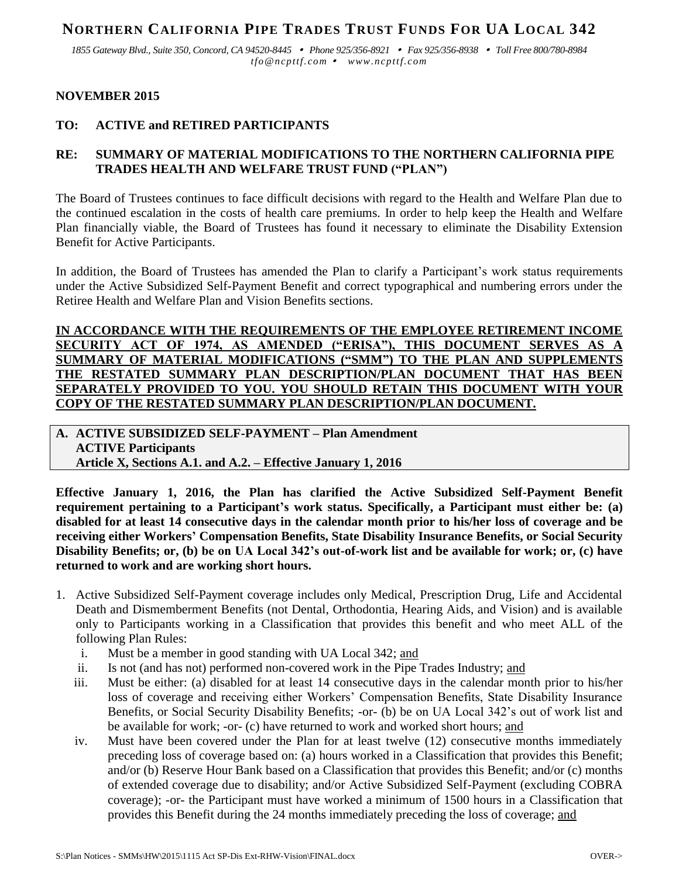# **NORTHERN CALIFORNIA PIPE TRADES TRUST FUNDS FOR UA LOCAL 342**

*1855 Gateway Blvd., Suite 350, Concord, CA 94520-8445 Phone 925/356-8921 Fax 925/356-8938 Toll Free 800/780-8984 tfo@ncpttf.com www.ncpttf.com*

#### **NOVEMBER 2015**

## **TO: ACTIVE and RETIRED PARTICIPANTS**

# **RE: SUMMARY OF MATERIAL MODIFICATIONS TO THE NORTHERN CALIFORNIA PIPE TRADES HEALTH AND WELFARE TRUST FUND ("PLAN")**

The Board of Trustees continues to face difficult decisions with regard to the Health and Welfare Plan due to the continued escalation in the costs of health care premiums. In order to help keep the Health and Welfare Plan financially viable, the Board of Trustees has found it necessary to eliminate the Disability Extension Benefit for Active Participants.

In addition, the Board of Trustees has amended the Plan to clarify a Participant's work status requirements under the Active Subsidized Self-Payment Benefit and correct typographical and numbering errors under the Retiree Health and Welfare Plan and Vision Benefits sections.

**IN ACCORDANCE WITH THE REQUIREMENTS OF THE EMPLOYEE RETIREMENT INCOME SECURITY ACT OF 1974, AS AMENDED ("ERISA"), THIS DOCUMENT SERVES AS A SUMMARY OF MATERIAL MODIFICATIONS ("SMM") TO THE PLAN AND SUPPLEMENTS THE RESTATED SUMMARY PLAN DESCRIPTION/PLAN DOCUMENT THAT HAS BEEN SEPARATELY PROVIDED TO YOU. YOU SHOULD RETAIN THIS DOCUMENT WITH YOUR COPY OF THE RESTATED SUMMARY PLAN DESCRIPTION/PLAN DOCUMENT.**

**A. ACTIVE SUBSIDIZED SELF-PAYMENT – Plan Amendment ACTIVE Participants Article X, Sections A.1. and A.2. – Effective January 1, 2016**

**Effective January 1, 2016, the Plan has clarified the Active Subsidized Self-Payment Benefit requirement pertaining to a Participant's work status. Specifically, a Participant must either be: (a) disabled for at least 14 consecutive days in the calendar month prior to his/her loss of coverage and be receiving either Workers' Compensation Benefits, State Disability Insurance Benefits, or Social Security Disability Benefits; or, (b) be on UA Local 342's out-of-work list and be available for work; or, (c) have returned to work and are working short hours.**

- 1. Active Subsidized Self-Payment coverage includes only Medical, Prescription Drug, Life and Accidental Death and Dismemberment Benefits (not Dental, Orthodontia, Hearing Aids, and Vision) and is available only to Participants working in a Classification that provides this benefit and who meet ALL of the following Plan Rules:
	- i. Must be a member in good standing with UA Local 342; and
	- ii. Is not (and has not) performed non-covered work in the Pipe Trades Industry; and
	- iii. Must be either: (a) disabled for at least 14 consecutive days in the calendar month prior to his/her loss of coverage and receiving either Workers' Compensation Benefits, State Disability Insurance Benefits, or Social Security Disability Benefits; -or- (b) be on UA Local 342's out of work list and be available for work; -or- (c) have returned to work and worked short hours; and
	- iv. Must have been covered under the Plan for at least twelve (12) consecutive months immediately preceding loss of coverage based on: (a) hours worked in a Classification that provides this Benefit; and/or (b) Reserve Hour Bank based on a Classification that provides this Benefit; and/or (c) months of extended coverage due to disability; and/or Active Subsidized Self-Payment (excluding COBRA coverage); -or- the Participant must have worked a minimum of 1500 hours in a Classification that provides this Benefit during the 24 months immediately preceding the loss of coverage; and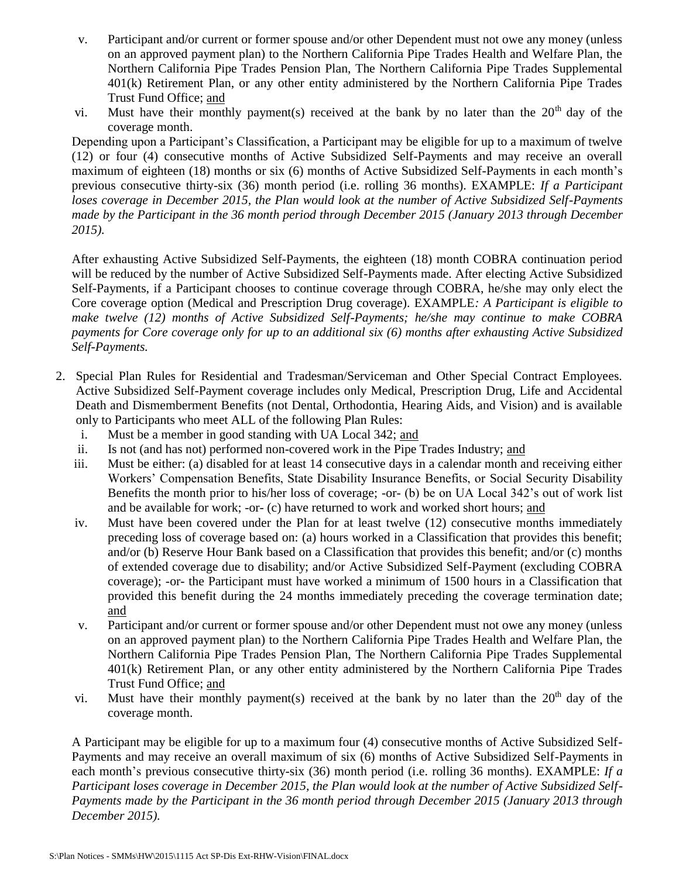- v. Participant and/or current or former spouse and/or other Dependent must not owe any money (unless on an approved payment plan) to the Northern California Pipe Trades Health and Welfare Plan, the Northern California Pipe Trades Pension Plan, The Northern California Pipe Trades Supplemental 401(k) Retirement Plan, or any other entity administered by the Northern California Pipe Trades Trust Fund Office; and
- vi. Must have their monthly payment(s) received at the bank by no later than the  $20<sup>th</sup>$  day of the coverage month.

Depending upon a Participant's Classification, a Participant may be eligible for up to a maximum of twelve (12) or four (4) consecutive months of Active Subsidized Self-Payments and may receive an overall maximum of eighteen (18) months or six (6) months of Active Subsidized Self-Payments in each month's previous consecutive thirty-six (36) month period (i.e. rolling 36 months). EXAMPLE: *If a Participant loses coverage in December 2015, the Plan would look at the number of Active Subsidized Self-Payments made by the Participant in the 36 month period through December 2015 (January 2013 through December 2015).*

After exhausting Active Subsidized Self-Payments, the eighteen (18) month COBRA continuation period will be reduced by the number of Active Subsidized Self-Payments made. After electing Active Subsidized Self-Payments, if a Participant chooses to continue coverage through COBRA, he/she may only elect the Core coverage option (Medical and Prescription Drug coverage). EXAMPLE*: A Participant is eligible to make twelve (12) months of Active Subsidized Self-Payments; he/she may continue to make COBRA payments for Core coverage only for up to an additional six (6) months after exhausting Active Subsidized Self-Payments.* 

- 2. Special Plan Rules for Residential and Tradesman/Serviceman and Other Special Contract Employees. Active Subsidized Self-Payment coverage includes only Medical, Prescription Drug, Life and Accidental Death and Dismemberment Benefits (not Dental, Orthodontia, Hearing Aids, and Vision) and is available only to Participants who meet ALL of the following Plan Rules:
	- i. Must be a member in good standing with UA Local 342; and
	- ii. Is not (and has not) performed non-covered work in the Pipe Trades Industry; and
	- iii. Must be either: (a) disabled for at least 14 consecutive days in a calendar month and receiving either Workers' Compensation Benefits, State Disability Insurance Benefits, or Social Security Disability Benefits the month prior to his/her loss of coverage; -or- (b) be on UA Local 342's out of work list and be available for work; -or- (c) have returned to work and worked short hours; and
	- iv. Must have been covered under the Plan for at least twelve (12) consecutive months immediately preceding loss of coverage based on: (a) hours worked in a Classification that provides this benefit; and/or (b) Reserve Hour Bank based on a Classification that provides this benefit; and/or (c) months of extended coverage due to disability; and/or Active Subsidized Self-Payment (excluding COBRA coverage); -or- the Participant must have worked a minimum of 1500 hours in a Classification that provided this benefit during the 24 months immediately preceding the coverage termination date; and
	- v. Participant and/or current or former spouse and/or other Dependent must not owe any money (unless on an approved payment plan) to the Northern California Pipe Trades Health and Welfare Plan, the Northern California Pipe Trades Pension Plan, The Northern California Pipe Trades Supplemental 401(k) Retirement Plan, or any other entity administered by the Northern California Pipe Trades Trust Fund Office; and
	- vi. Must have their monthly payment(s) received at the bank by no later than the  $20<sup>th</sup>$  day of the coverage month.

A Participant may be eligible for up to a maximum four (4) consecutive months of Active Subsidized Self-Payments and may receive an overall maximum of six (6) months of Active Subsidized Self-Payments in each month's previous consecutive thirty-six (36) month period (i.e. rolling 36 months). EXAMPLE: *If a Participant loses coverage in December 2015, the Plan would look at the number of Active Subsidized Self-Payments made by the Participant in the 36 month period through December 2015 (January 2013 through December 2015).*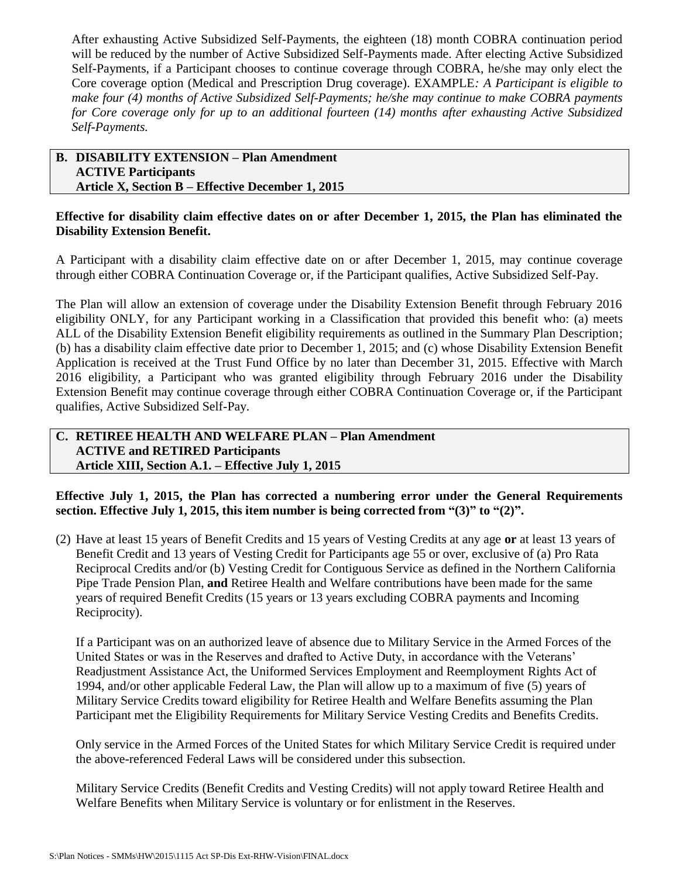After exhausting Active Subsidized Self-Payments, the eighteen (18) month COBRA continuation period will be reduced by the number of Active Subsidized Self-Payments made. After electing Active Subsidized Self-Payments, if a Participant chooses to continue coverage through COBRA, he/she may only elect the Core coverage option (Medical and Prescription Drug coverage). EXAMPLE*: A Participant is eligible to make four (4) months of Active Subsidized Self-Payments; he/she may continue to make COBRA payments for Core coverage only for up to an additional fourteen (14) months after exhausting Active Subsidized Self-Payments.* 

## **B. DISABILITY EXTENSION – Plan Amendment ACTIVE Participants Article X, Section B – Effective December 1, 2015**

## **Effective for disability claim effective dates on or after December 1, 2015, the Plan has eliminated the Disability Extension Benefit.**

A Participant with a disability claim effective date on or after December 1, 2015, may continue coverage through either COBRA Continuation Coverage or, if the Participant qualifies, Active Subsidized Self-Pay.

The Plan will allow an extension of coverage under the Disability Extension Benefit through February 2016 eligibility ONLY, for any Participant working in a Classification that provided this benefit who: (a) meets ALL of the Disability Extension Benefit eligibility requirements as outlined in the Summary Plan Description; (b) has a disability claim effective date prior to December 1, 2015; and (c) whose Disability Extension Benefit Application is received at the Trust Fund Office by no later than December 31, 2015. Effective with March 2016 eligibility, a Participant who was granted eligibility through February 2016 under the Disability Extension Benefit may continue coverage through either COBRA Continuation Coverage or, if the Participant qualifies, Active Subsidized Self-Pay.

#### **C. RETIREE HEALTH AND WELFARE PLAN – Plan Amendment ACTIVE and RETIRED Participants Article XIII, Section A.1. – Effective July 1, 2015**

**Effective July 1, 2015, the Plan has corrected a numbering error under the General Requirements section. Effective July 1, 2015, this item number is being corrected from "(3)" to "(2)".**

(2) Have at least 15 years of Benefit Credits and 15 years of Vesting Credits at any age **or** at least 13 years of Benefit Credit and 13 years of Vesting Credit for Participants age 55 or over, exclusive of (a) Pro Rata Reciprocal Credits and/or (b) Vesting Credit for Contiguous Service as defined in the Northern California Pipe Trade Pension Plan, **and** Retiree Health and Welfare contributions have been made for the same years of required Benefit Credits (15 years or 13 years excluding COBRA payments and Incoming Reciprocity).

If a Participant was on an authorized leave of absence due to Military Service in the Armed Forces of the United States or was in the Reserves and drafted to Active Duty, in accordance with the Veterans' Readjustment Assistance Act, the Uniformed Services Employment and Reemployment Rights Act of 1994, and/or other applicable Federal Law, the Plan will allow up to a maximum of five (5) years of Military Service Credits toward eligibility for Retiree Health and Welfare Benefits assuming the Plan Participant met the Eligibility Requirements for Military Service Vesting Credits and Benefits Credits.

Only service in the Armed Forces of the United States for which Military Service Credit is required under the above-referenced Federal Laws will be considered under this subsection.

Military Service Credits (Benefit Credits and Vesting Credits) will not apply toward Retiree Health and Welfare Benefits when Military Service is voluntary or for enlistment in the Reserves.